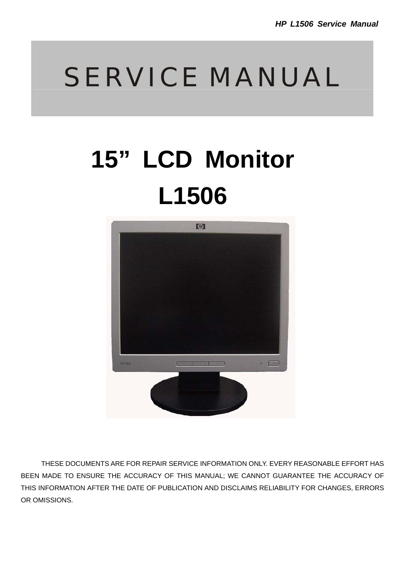# SERVICE MANUAL

# **15" LCD Monitor L1506**



THESE DOCUMENTS ARE FOR REPAIR SERVICE INFORMATION ONLY. EVERY REASONABLE EFFORT HAS BEEN MADE TO ENSURE THE ACCURACY OF THIS MANUAL; WE CANNOT GUARANTEE THE ACCURACY OF THIS INFORMATION AFTER THE DATE OF PUBLICATION AND DISCLAIMS RELIABILITY FOR CHANGES, ERRORS OR OMISSIONS.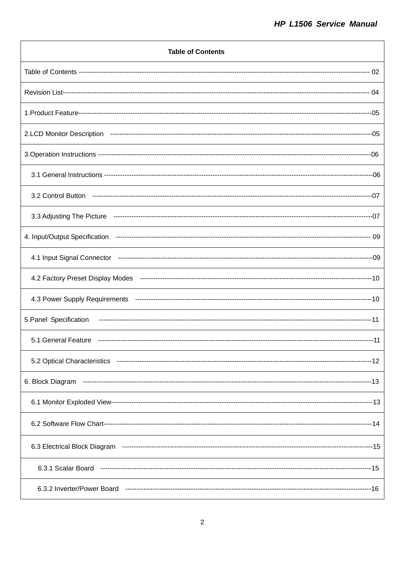| <b>Table of Contents</b>    |
|-----------------------------|
|                             |
|                             |
|                             |
|                             |
|                             |
|                             |
|                             |
| 3.3 Adjusting The Picture   |
|                             |
|                             |
|                             |
|                             |
| 5. Panel Specification      |
| 5.1 General Feature         |
| 5.2 Optical Characteristics |
| 6. Block Diagram            |
|                             |
|                             |
|                             |
|                             |
| 6.3.2 Inverter/Power Board  |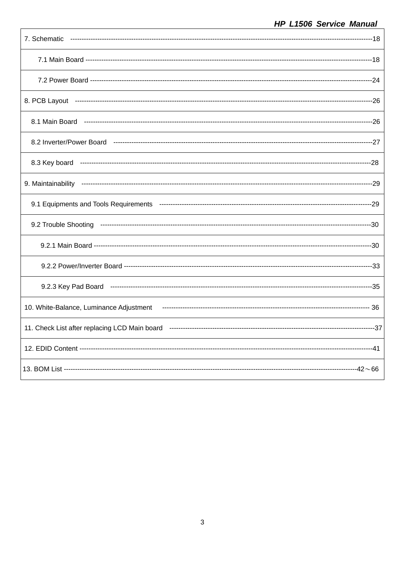| 7. Schematic |
|--------------|
|              |
|              |
|              |
|              |
|              |
|              |
|              |
|              |
|              |
|              |
|              |
|              |
|              |
|              |
|              |
|              |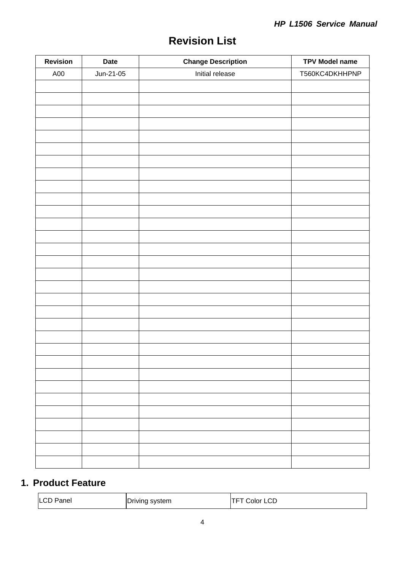| <b>Revision</b> | <b>Date</b> | <b>Change Description</b> | <b>TPV Model name</b> |
|-----------------|-------------|---------------------------|-----------------------|
| A00             | Jun-21-05   | Initial release           | T560KC4DKHHPNP        |
|                 |             |                           |                       |
|                 |             |                           |                       |
|                 |             |                           |                       |
|                 |             |                           |                       |
|                 |             |                           |                       |
|                 |             |                           |                       |
|                 |             |                           |                       |
|                 |             |                           |                       |
|                 |             |                           |                       |
|                 |             |                           |                       |
|                 |             |                           |                       |
|                 |             |                           |                       |
|                 |             |                           |                       |
|                 |             |                           |                       |
|                 |             |                           |                       |
|                 |             |                           |                       |
|                 |             |                           |                       |
|                 |             |                           |                       |
|                 |             |                           |                       |
|                 |             |                           |                       |
|                 |             |                           |                       |
|                 |             |                           |                       |
|                 |             |                           |                       |
|                 |             |                           |                       |
|                 |             |                           |                       |
|                 |             |                           |                       |
|                 |             |                           |                       |
|                 |             |                           |                       |
|                 |             |                           |                       |
|                 |             |                           |                       |
|                 |             |                           |                       |

# **1. Product Feature**

| <b>LCD</b> | ╶              | Color LCD |  |
|------------|----------------|-----------|--|
| Panel      | Driving system | _         |  |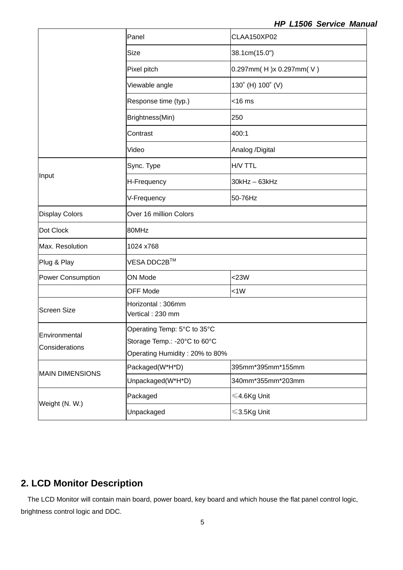|                                                                                                                                   | Panel                                 | CLAA150XP02                      |  |  |
|-----------------------------------------------------------------------------------------------------------------------------------|---------------------------------------|----------------------------------|--|--|
|                                                                                                                                   | Size                                  | 38.1cm(15.0")                    |  |  |
|                                                                                                                                   | Pixel pitch                           | $0.297$ mm $(H)$ x 0.297mm $(V)$ |  |  |
|                                                                                                                                   | Viewable angle                        | 130° (H) 100° (V)                |  |  |
|                                                                                                                                   | Response time (typ.)<br>$<$ 16 $m$ s  |                                  |  |  |
|                                                                                                                                   | Brightness(Min)<br>250                |                                  |  |  |
|                                                                                                                                   | Contrast                              | 400:1                            |  |  |
|                                                                                                                                   | Video                                 | Analog /Digital                  |  |  |
|                                                                                                                                   | Sync. Type                            | H/V TTL                          |  |  |
| Input                                                                                                                             | H-Frequency                           | $30$ kHz $-63$ kHz               |  |  |
|                                                                                                                                   | V-Frequency<br>50-76Hz                |                                  |  |  |
| <b>Display Colors</b>                                                                                                             | Over 16 million Colors                |                                  |  |  |
| Dot Clock                                                                                                                         | 80MHz                                 |                                  |  |  |
| Max. Resolution                                                                                                                   | 1024 x768                             |                                  |  |  |
| Plug & Play                                                                                                                       | $VESA$ DDC2B $^{TM}$                  |                                  |  |  |
| <b>Power Consumption</b>                                                                                                          | $<$ 23W<br>ON Mode                    |                                  |  |  |
|                                                                                                                                   | <b>OFF Mode</b>                       | <1W                              |  |  |
| <b>Screen Size</b>                                                                                                                | Horizontal: 306mm<br>Vertical: 230 mm |                                  |  |  |
| Operating Temp: 5°C to 35°C<br>Environmental<br>Storage Temp.: - 20°C to 60°C<br>Considerations<br>Operating Humidity: 20% to 80% |                                       |                                  |  |  |
| <b>MAIN DIMENSIONS</b>                                                                                                            | Packaged(W*H*D)                       | 395mm*395mm*155mm                |  |  |
|                                                                                                                                   | Unpackaged(W*H*D)                     | 340mm*355mm*203mm                |  |  |
|                                                                                                                                   |                                       | ≤4.6Kg Unit                      |  |  |
| Weight (N. W.)                                                                                                                    | Packaged                              |                                  |  |  |

## **2. LCD Monitor Description**

The LCD Monitor will contain main board, power board, key board and which house the flat panel control logic, brightness control logic and DDC.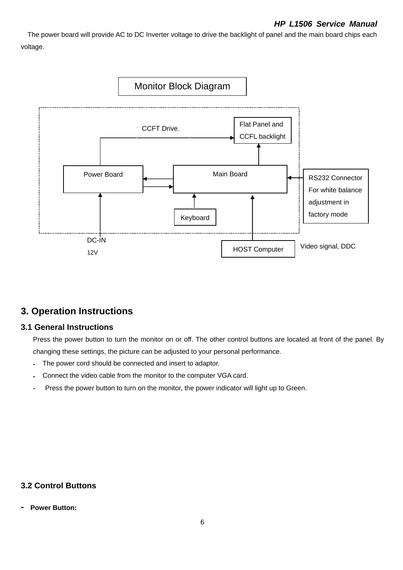The power board will provide AC to DC Inverter voltage to drive the backlight of panel and the main board chips each voltage.



## **3. Operation Instructions**

## **3.1 General Instructions**

Press the power button to turn the monitor on or off. The other control buttons are located at front of the panel. By changing these settings, the picture can be adjusted to your personal performance.

- **-** The power cord should be connected and insert to adaptor.
- **-** Connect the video cable from the monitor to the computer VGA card.
- Press the power button to turn on the monitor, the power indicator will light up to Green.

## **3.2 Control Buttons**

**- Power Button:**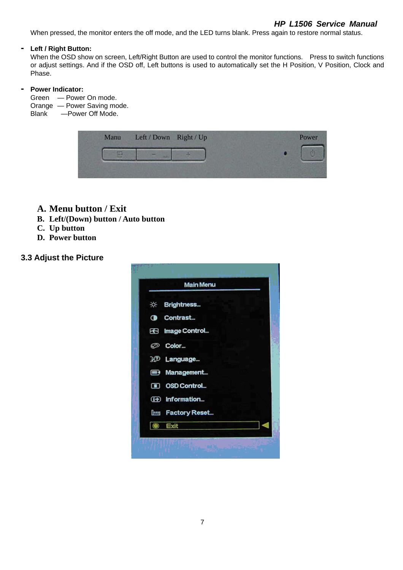#### *HP L1506 Service Manual*

When pressed, the monitor enters the off mode, and the LED turns blank. Press again to restore normal status.

#### **- Left / Right Button:**

When the OSD show on screen, Left/Right Button are used to control the monitor functions. Press to switch functions or adjust settings. And if the OSD off, Left buttons is used to automatically set the H Position, V Position, Clock and Phase.

#### **- Power Indicator:**

- Green Power On mode.
- Orange Power Saving mode.
- Blank —Power Off Mode.

|  | Manu Left / Down Right / Up | Power |
|--|-----------------------------|-------|
|  |                             |       |
|  |                             |       |

- **A. Menu button / Exit**
- **B. Left/(Down) button / Auto button**
- **C. Up button**
- **D. Power button**

#### **3.3 Adjust the Picture**

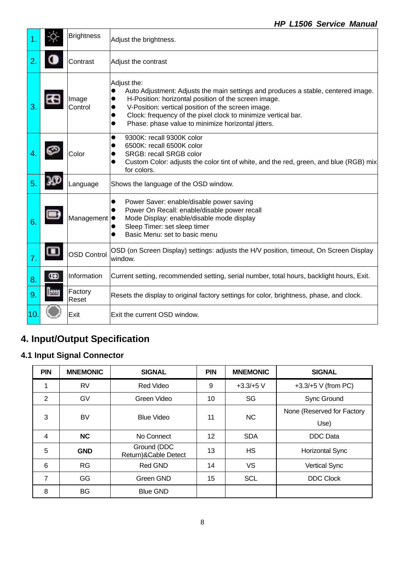|    |   | <b>Brightness</b>  | Adjust the brightness.                                                                                                                                                                                                                                                                                                                             |  |  |
|----|---|--------------------|----------------------------------------------------------------------------------------------------------------------------------------------------------------------------------------------------------------------------------------------------------------------------------------------------------------------------------------------------|--|--|
|    |   | Contrast           | Adjust the contrast                                                                                                                                                                                                                                                                                                                                |  |  |
|    |   | Image<br>Control   | Adjust the:<br>Auto Adjustment: Adjusts the main settings and produces a stable, centered image.<br>$\bullet$<br>H-Position: horizontal position of the screen image.<br>V-Position: vertical position of the screen image.<br>Clock: frequency of the pixel clock to minimize vertical bar.<br>Phase: phase value to minimize horizontal jitters. |  |  |
|    |   | Color              | 9300K: recall 9300K color<br>0<br>6500K: recall 6500K color<br>SRGB: recall SRGB color<br>Custom Color: adjusts the color tint of white, and the red, green, and blue (RGB) mix<br>for colors.                                                                                                                                                     |  |  |
| 5  |   | Language           | Shows the language of the OSD window.                                                                                                                                                                                                                                                                                                              |  |  |
| 6  |   | Management         | Power Saver: enable/disable power saving<br>$\bullet$<br>Power On Recall: enable/disable power recall<br>Mode Display: enable/disable mode display<br>Sleep Timer: set sleep timer<br>Basic Menu: set to basic menu<br>0                                                                                                                           |  |  |
| 7. |   | <b>OSD Control</b> | OSD (on Screen Display) settings: adjusts the H/V position, timeout, On Screen Display<br>window.                                                                                                                                                                                                                                                  |  |  |
| 8  | Œ | Information        | Current setting, recommended setting, serial number, total hours, backlight hours, Exit.                                                                                                                                                                                                                                                           |  |  |
| 9  |   | Factory<br>Reset   | Resets the display to original factory settings for color, brightness, phase, and clock.                                                                                                                                                                                                                                                           |  |  |
| 10 |   | Exit               | Exit the current OSD window.                                                                                                                                                                                                                                                                                                                       |  |  |

# **4. Input/Output Specification**

# **4.1 Input Signal Connector**

| <b>PIN</b>     | <b>MNEMONIC</b> | <b>SIGNAL</b>                       | <b>PIN</b> | <b>MNEMONIC</b> | <b>SIGNAL</b>              |
|----------------|-----------------|-------------------------------------|------------|-----------------|----------------------------|
|                | <b>RV</b>       | <b>Red Video</b>                    | 9          | $+3.3/+5$ V     | +3.3/+5 $V$ (from PC)      |
| 2              | GV              | Green Video                         | 10         | SG              | <b>Sync Ground</b>         |
| 3              | BV              | <b>Blue Video</b>                   | 11         | NC.             | None (Reserved for Factory |
|                |                 |                                     |            |                 | Use)                       |
| $\overline{4}$ | NC              | No Connect                          | 12         | <b>SDA</b>      | <b>DDC</b> Data            |
| 5              | <b>GND</b>      | Ground (DDC<br>Return)&Cable Detect | 13         | HS              | <b>Horizontal Sync</b>     |
| 6              | <b>RG</b>       | <b>Red GND</b>                      | 14         | <b>VS</b>       | Vertical Sync              |
| 7              | <b>GG</b>       | Green GND                           | 15         | <b>SCL</b>      | <b>DDC Clock</b>           |
| 8              | BG              | <b>Blue GND</b>                     |            |                 |                            |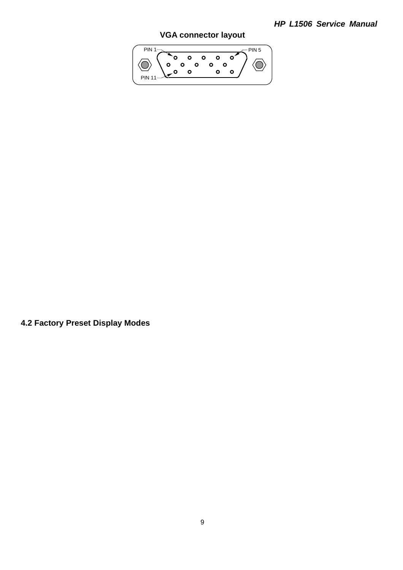## *HP L1506 Service Manual*

## **VGA connector layout**



**4.2 Factory Preset Display Modes**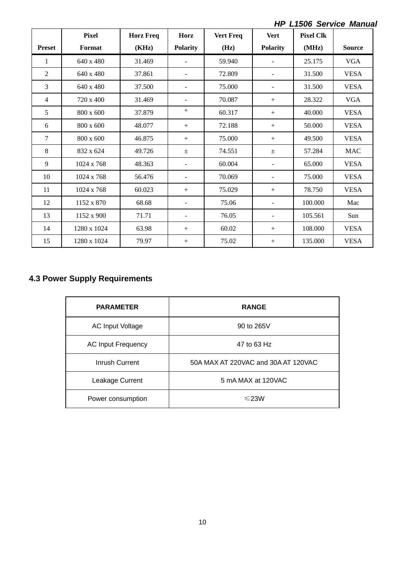*HP L1506 Service Manual* 

|                | <b>Pixel</b> | <b>Horz Freq</b> | Horz            | <b>Vert Freq</b> | <b>Vert</b>              | <b>Pixel Clk</b> |               |
|----------------|--------------|------------------|-----------------|------------------|--------------------------|------------------|---------------|
| <b>Preset</b>  | Format       | (KHz)            | <b>Polarity</b> | (Hz)             | <b>Polarity</b>          | (MHz)            | <b>Source</b> |
| 1              | 640 x 480    | 31.469           |                 | 59.940           |                          | 25.175           | <b>VGA</b>    |
| $\overline{2}$ | 640 x 480    | 37.861           |                 | 72.809           |                          | 31.500           | <b>VESA</b>   |
| 3              | 640 x 480    | 37.500           |                 | 75.000           | $\overline{\phantom{a}}$ | 31.500           | <b>VESA</b>   |
| 4              | 720 x 400    | 31.469           |                 | 70.087           | $^{+}$                   | 28.322           | <b>VGA</b>    |
| 5              | 800 x 600    | 37.879           | $^{+}$          | 60.317           | $+$                      | 40.000           | <b>VESA</b>   |
| 6              | 800 x 600    | 48.077           | $^{+}$          | 72.188           | $^{+}$                   | 50.000           | <b>VESA</b>   |
| 7              | 800 x 600    | 46.875           | $^{+}$          | 75.000           | $^{+}$                   | 49.500           | <b>VESA</b>   |
| 8              | 832 x 624    | 49.726           | $\pm$           | 74.551           | $\pm$                    | 57.284           | <b>MAC</b>    |
| 9              | 1024 x 768   | 48.363           |                 | 60.004           | ۰                        | 65.000           | <b>VESA</b>   |
| 10             | 1024 x 768   | 56.476           |                 | 70.069           | $\overline{\phantom{a}}$ | 75.000           | <b>VESA</b>   |
| 11             | 1024 x 768   | 60.023           | $+$             | 75.029           | $+$                      | 78.750           | <b>VESA</b>   |
| 12             | 1152 x 870   | 68.68            |                 | 75.06            | $\overline{\phantom{a}}$ | 100.000          | Mac           |
| 13             | 1152 x 900   | 71.71            |                 | 76.05            | $\overline{\phantom{a}}$ | 105.561          | Sun           |
| 14             | 1280 x 1024  | 63.98            | $^{+}$          | 60.02            | $^{+}$                   | 108.000          | <b>VESA</b>   |
| 15             | 1280 x 1024  | 79.97            | $^{+}$          | 75.02            | $^{+}$                   | 135.000          | <b>VESA</b>   |

## **4.3 Power Supply Requirements**

| <b>PARAMETER</b>          | <b>RANGE</b>                        |
|---------------------------|-------------------------------------|
| <b>AC Input Voltage</b>   | 90 to 265V                          |
| <b>AC Input Frequency</b> | 47 to 63 Hz                         |
| Inrush Current            | 50A MAX AT 220VAC and 30A AT 120VAC |
| Leakage Current           | 5 mA MAX at 120VAC                  |
| Power consumption         | $\leq$ 23W                          |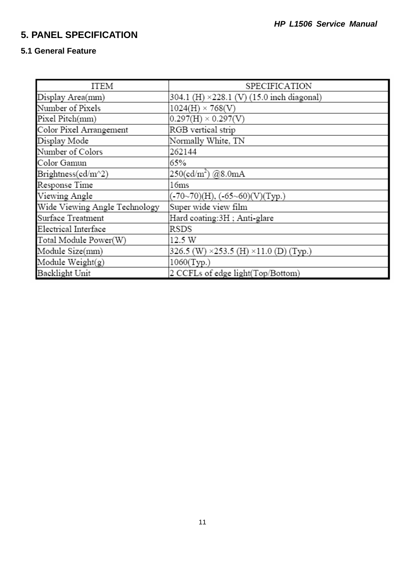# **5. PANEL SPECIFICATION**

## **5.1 General Feature**

| ITEM                          | SPECIFICATION                                         |
|-------------------------------|-------------------------------------------------------|
| Display Area(mm)              | 304.1 (H) ×228.1 (V) (15.0 inch diagonal)             |
| Number of Pixels              | $1024(H) \times 768(V)$                               |
| Pixel Pitch(mm)               | $0.297(H) \times 0.297(V)$                            |
| Color Pixel Arrangement       | RGB vertical strip                                    |
| Display Mode                  | Normally White, TN                                    |
| Number of Colors              | 262144                                                |
| Color Gamun                   | 65%                                                   |
| Brightness(cd/m^2)            | $250(\text{cd/m}^2)$ @8.0mA                           |
| Response Time                 | 16ms                                                  |
| Viewing Angle                 | $(-70~70)(H)$ , $(-65~60)(V)(Typ.)$                   |
| Wide Viewing Angle Technology | Super wide view film                                  |
| Surface Treatment             | Hard coating:3H; Anti-glare                           |
| Electrical Interface          | RSDS                                                  |
| Total Module Power(W)         | 12.5 W                                                |
| Module Size(mm)               | 326.5 (W) $\times$ 253.5 (H) $\times$ 11.0 (D) (Typ.) |
| Module Weight( $g$ )          | 1060(Typ.)                                            |
| Backlight Unit                | 2 CCFLs of edge light(Top/Bottom)                     |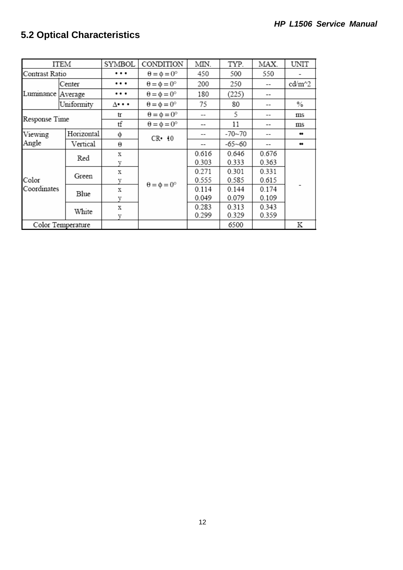# **5.2 Optical Characteristics**

| ITEM              |                   | SYMBOL   | CONDITION                   | MIN.  | TYP.       | MAX.  | UNIT   |
|-------------------|-------------------|----------|-----------------------------|-------|------------|-------|--------|
| Contrast Ratio    |                   | $\cdots$ | $\theta = \phi = 0^{\circ}$ | 450   | 500        | 550   |        |
|                   | Center            |          | $\theta = \phi = 0^{\circ}$ | 200   | 250        |       | cd/m^2 |
| Luminance Average |                   | $\cdots$ | $\theta = \phi = 0^{\circ}$ | 180   | (225)      |       |        |
|                   | Uniformity        | ∆• • •   | $\theta = \phi = 0^{\circ}$ | 75    | 80         |       | $\%$   |
|                   |                   | tr       | $\theta = \phi = 0^{\circ}$ | --    | 5          | --    | ms     |
| Response Time     |                   | tf       | $\theta = \phi = 0^{\circ}$ | --    | 11         |       | ms     |
| Viewing           | Horizontal        | φ        | $CR \cdot 10$               | --    | $-70 - 70$ |       |        |
| Angle             | Vertical          | θ        |                             |       | $-65 - 60$ |       |        |
|                   | Red               | x        |                             | 0.616 | 0.646      | 0.676 |        |
|                   |                   | V        |                             | 0.303 | 0.333      | 0.363 |        |
|                   | Green             | x        |                             | 0.271 | 0.301      | 0.331 |        |
| Color             |                   | V        | $\theta = \phi = 0^{\circ}$ | 0.555 | 0.585      | 0.615 |        |
| Coordinates       | Blue              | x        |                             | 0.114 | 0.144      | 0.174 |        |
|                   |                   | V        |                             | 0.049 | 0.079      | 0.109 |        |
|                   |                   | X        |                             | 0.283 | 0.313      | 0.343 |        |
|                   | White             | v        |                             | 0.299 | 0.329      | 0.359 |        |
|                   | Color Temperature |          |                             |       | 6500       |       | K      |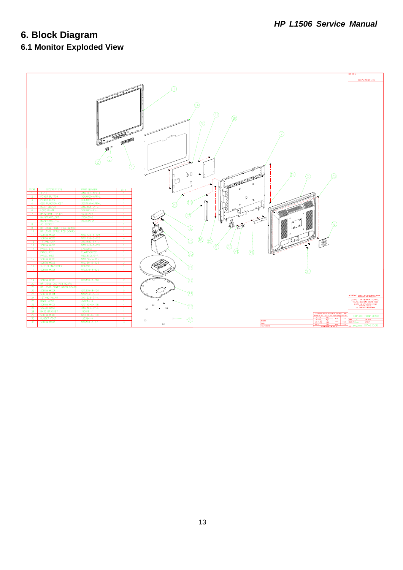# **6. Block Diagram**

# **6.1 Monitor Exploded View**

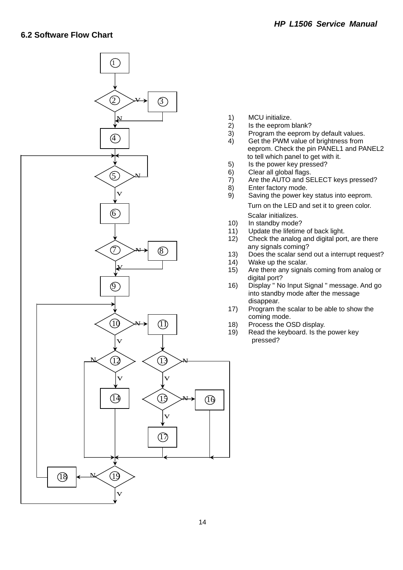

- 1) MCU initialize.
- 2) Is the eeprom blank?
- 3) Program the eeprom by default values.
- 4) Get the PWM value of brightness from eeprom. Check the pin PANEL1 and PANEL2 to tell which panel to get with it.
- 5) Is the power key pressed?
- 6) Clear all global flags.
- 7) Are the AUTO and SELECT keys pressed?
- 8) Enter factory mode.
- 9) Saving the power key status into eeprom. Turn on the LED and set it to green color. Scalar initializes.
- 10) In standby mode?
- 11) Update the lifetime of back light.
- 12) Check the analog and digital port, are there any signals coming?
- 13) Does the scalar send out a interrupt request?
- 14) Wake up the scalar.
- 15) Are there any signals coming from analog or digital port?
- 16) Display " No Input Signal " message. And go into standby mode after the message disappear.
- 17) Program the scalar to be able to show the coming mode.
- 18) Process the OSD display.
- 19) Read the keyboard. Is the power key pressed?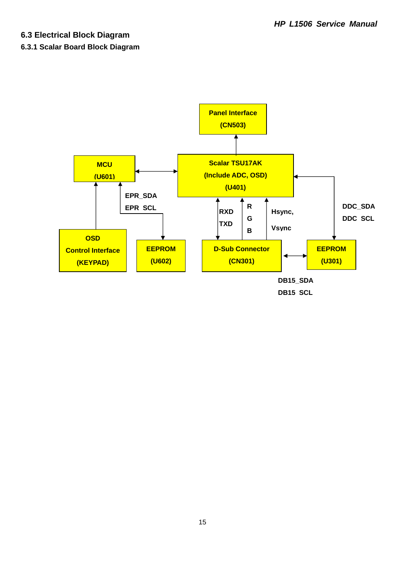## **6.3 Electrical Block Diagram**

#### **6.3.1 Scalar Board Block Diagram**

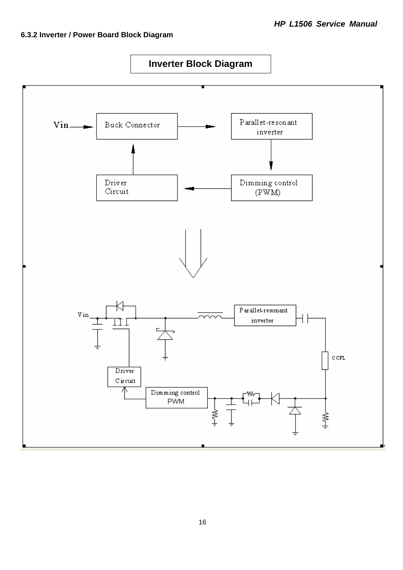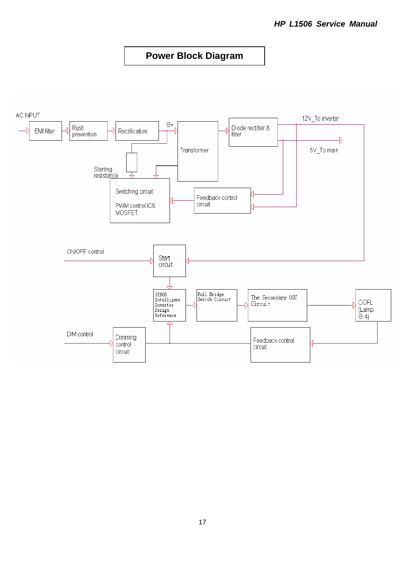## **Power Block Diagram**

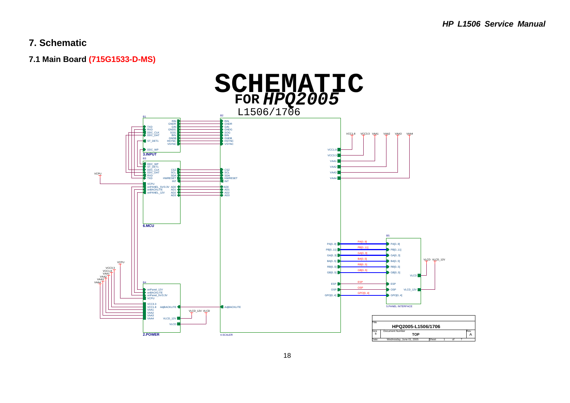## **7. Schematic**

**7.1 Main Board (715G1533-D-MS)** 

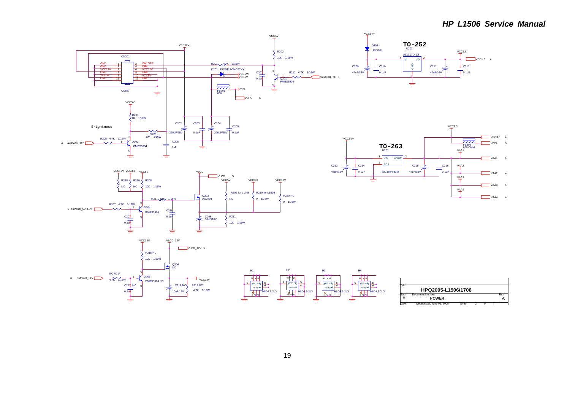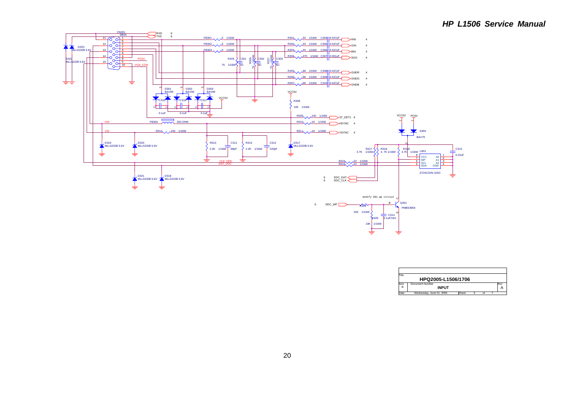

| Title |                          |       |   |          |     |
|-------|--------------------------|-------|---|----------|-----|
|       | HPQ2005-L1506/1706       |       |   |          |     |
| Size  | <b>Document Number</b>   |       |   |          | Rev |
| B     | <b>INPUT</b>             |       |   |          |     |
| Date: | Wednesday, June 01, 2005 | Sheet | ٠ | $\Omega$ |     |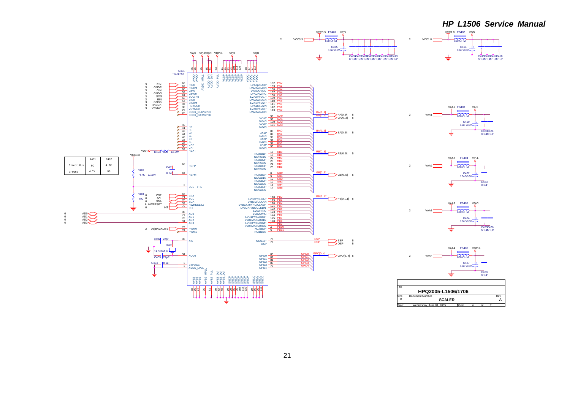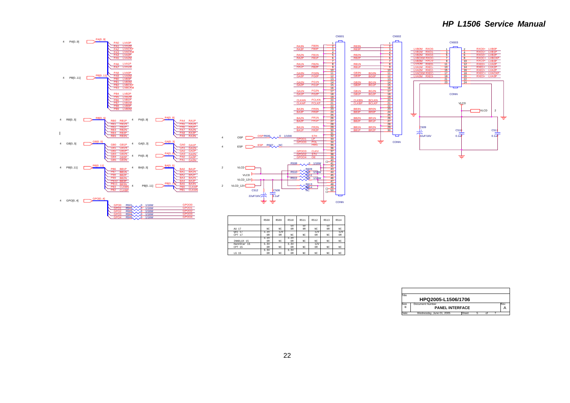#### *HP L1506 Service Manual*



| ïtle               |                          |       |  |  |  |     |  |  |  |
|--------------------|--------------------------|-------|--|--|--|-----|--|--|--|
| HPQ2005-L1506/1706 |                          |       |  |  |  |     |  |  |  |
| Size               | Document Number          |       |  |  |  | Rev |  |  |  |
| B                  | <b>PANEL INTERFACE</b>   |       |  |  |  |     |  |  |  |
| Date:              | Wednesday, June 01, 2005 | Sheet |  |  |  |     |  |  |  |

3.3V 0R

NC

NC

NC

NC

NC

NC

NC

NC

NC

0R3.3V

LG 15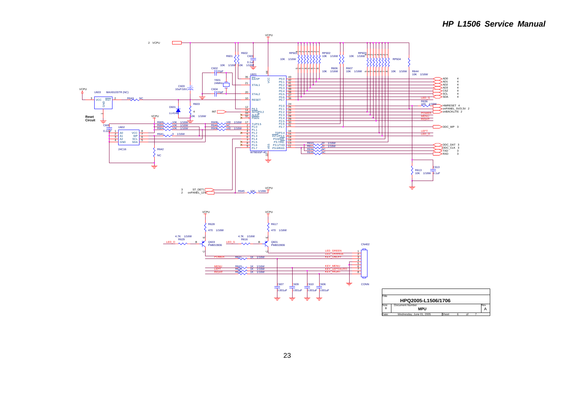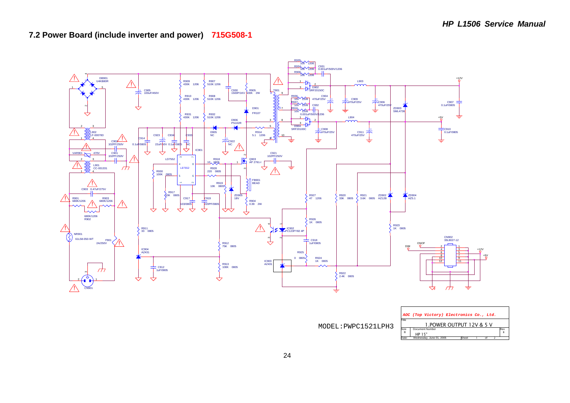



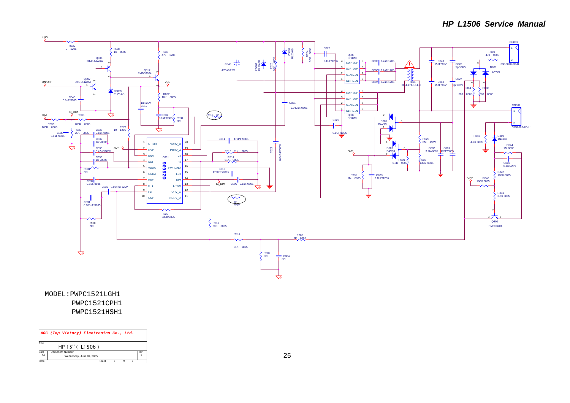

PWPC1521HSH1MODEL:PWPC1521LGH1 PWPC1521CPH1

|                        | AOC (Top Victory) Electronics Co., Ltd.     |  |     |
|------------------------|---------------------------------------------|--|-----|
| Title                  | HP 15" ( L1506)                             |  |     |
| Size<br>A <sub>3</sub> | Document Number<br>Wednesday, June 01, 2005 |  | Rev |
| Date:                  | Sheet                                       |  |     |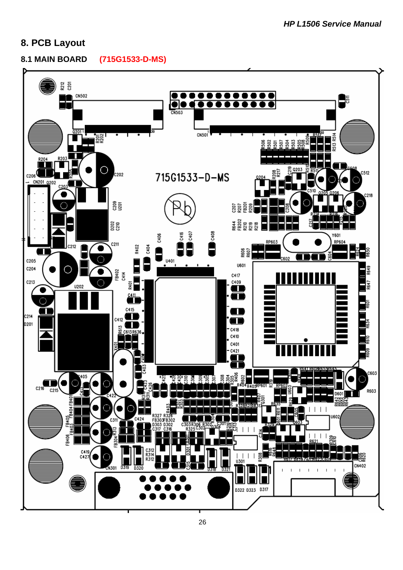## **8. PCB Layout**

**8.1 MAIN BOARD (715G1533-D-MS)** 

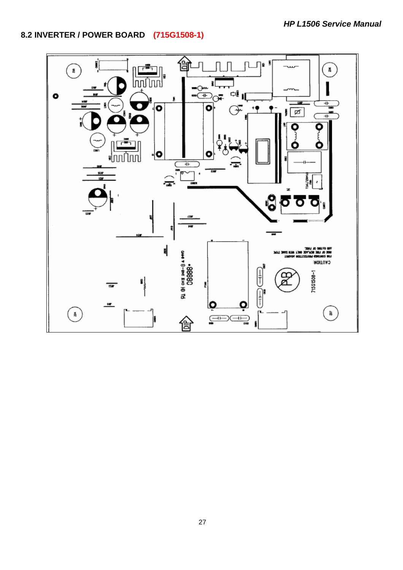## **8.2 INVERTER / POWER BOARD (715G1508-1)**

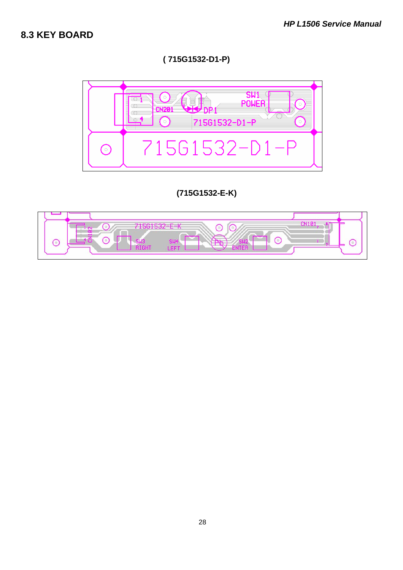## **8.3 KEY BOARD**

**( 715G1532-D1-P)** 



## **(715G1532-E-K)**

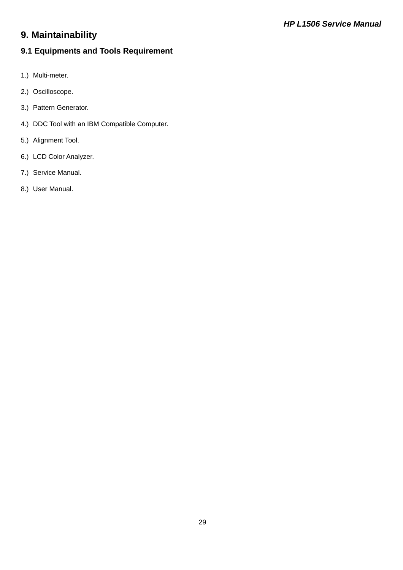# **9. Maintainability**

## **9.1 Equipments and Tools Requirement**

- 1.) Multi-meter.
- 2.) Oscilloscope.
- 3.) Pattern Generator.
- 4.) DDC Tool with an IBM Compatible Computer.
- 5.) Alignment Tool.
- 6.) LCD Color Analyzer.
- 7.) Service Manual.
- 8.) User Manual.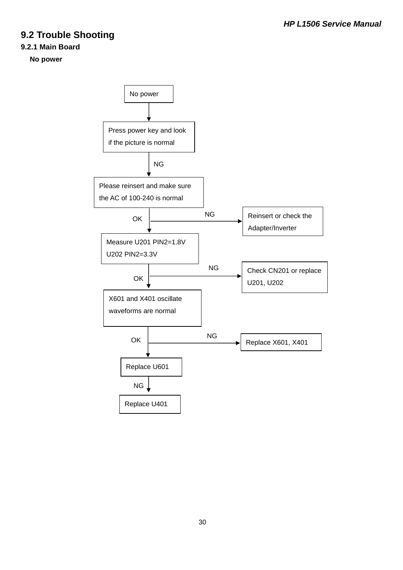# **9.2 Trouble Shooting**

#### **9.2.1 Main Board**

#### **No power**

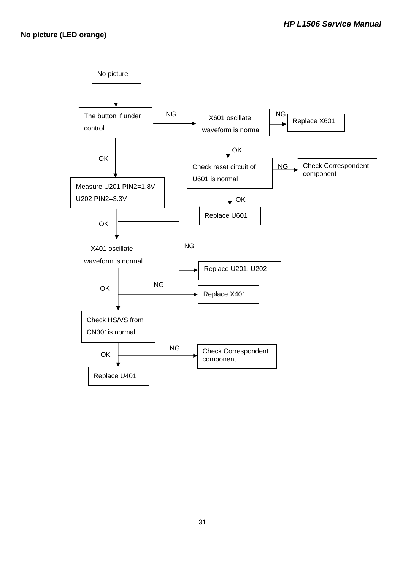#### **No picture (LED orange)**

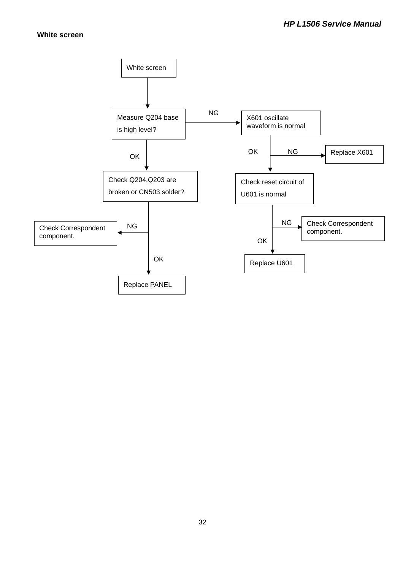#### **White screen**

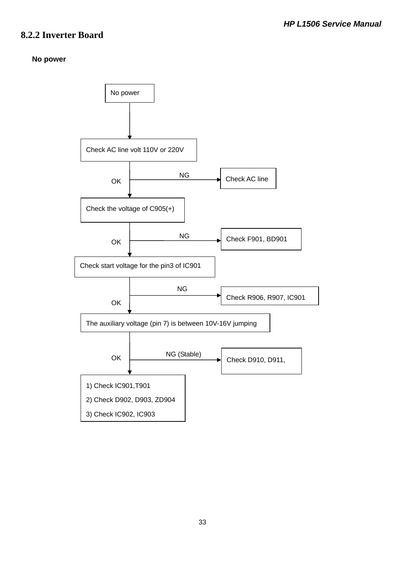## **8.2.2 Inverter Board**

#### **No power**

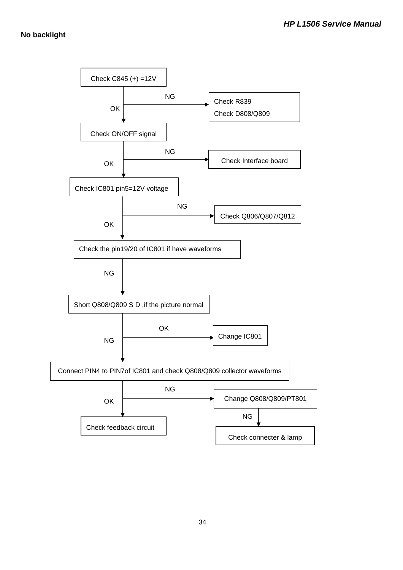#### **No backlight**

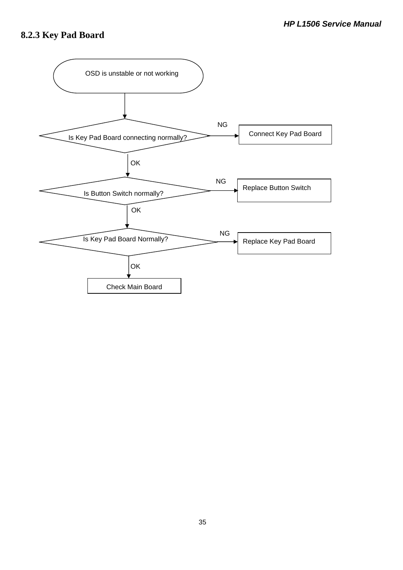# **8.2.3 Key Pad Board**

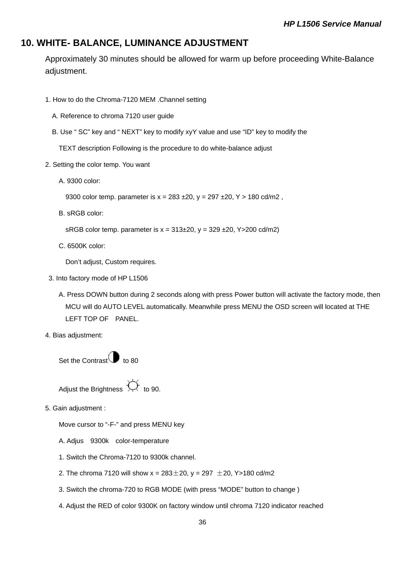## **10. WHITE- BALANCE, LUMINANCE ADJUSTMENT**

Approximately 30 minutes should be allowed for warm up before proceeding White-Balance adjustment.

- 1. How to do the Chroma-7120 MEM .Channel setting
	- A. Reference to chroma 7120 user guide
	- B. Use " SC" key and " NEXT" key to modify xyY value and use "ID" key to modify the

TEXT description Following is the procedure to do white-balance adjust

- 2. Setting the color temp. You want
	- A. 9300 color:

9300 color temp. parameter is  $x = 283 \pm 20$ ,  $y = 297 \pm 20$ ,  $Y > 180 \text{ cd/m2}$ ,

B. sRGB color:

sRGB color temp. parameter is  $x = 313\pm20$ ,  $y = 329\pm20$ , Y > 200 cd/m2)

C. 6500K color:

Don't adjust, Custom requires.

- 3. Into factory mode of HP L1506
	- A. Press DOWN button during 2 seconds along with press Power button will activate the factory mode, then MCU will do AUTO LEVEL automatically. Meanwhile press MENU the OSD screen will located at THE LEFT TOP OF PANEL.
- 4. Bias adjustment:

Set the Contrast  $\bigcirc$  to 80

Adjust the Brightness  $\overleftrightarrow{\mathcal{L}}$  to 90.

5. Gain adjustment :

Move cursor to "-F-" and press MENU key

- A. Adjus 9300k color-temperature
- 1. Switch the Chroma-7120 to 9300k channel.
- 2. The chroma 7120 will show  $x = 283 \pm 20$ ,  $y = 297 \pm 20$ , Y > 180 cd/m2
- 3. Switch the chroma-720 to RGB MODE (with press "MODE" button to change )
- 4. Adjust the RED of color 9300K on factory window until chroma 7120 indicator reached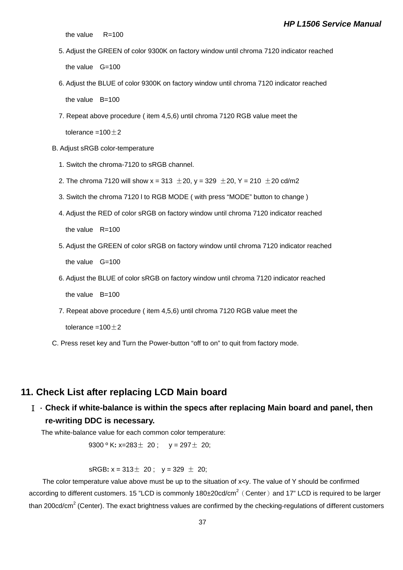#### *HP L1506 Service Manual*

the value  $R=100$ 

- 5. Adjust the GREEN of color 9300K on factory window until chroma 7120 indicator reached the value G=100
- 6. Adjust the BLUE of color 9300K on factory window until chroma 7120 indicator reached the value B=100
- 7. Repeat above procedure ( item 4,5,6) until chroma 7120 RGB value meet the tolerance =100 $\pm$ 2
- B. Adjust sRGB color-temperature
	- 1. Switch the chroma-7120 to sRGB channel.
	- 2. The chroma 7120 will show  $x = 313 \pm 20$ ,  $y = 329 \pm 20$ ,  $Y = 210 \pm 20$  cd/m2
	- 3. Switch the chroma 7120 l to RGB MODE ( with press "MODE" button to change )
	- 4. Adjust the RED of color sRGB on factory window until chroma 7120 indicator reached the value  $R=100$
	- 5. Adjust the GREEN of color sRGB on factory window until chroma 7120 indicator reached the value G=100
	- 6. Adjust the BLUE of color sRGB on factory window until chroma 7120 indicator reached the value B=100
	- 7. Repeat above procedure ( item 4,5,6) until chroma 7120 RGB value meet the tolerance =100 $\pm$ 2
- C. Press reset key and Turn the Power-button "off to on" to quit from factory mode.

## **11. Check List after replacing LCD Main board**

Ⅰ.**Check if white-balance is within the specs after replacing Main board and panel, then re-writing DDC is necessary.** 

The white-balance value for each common color temperature:

9300 º K**:** x=283± 20 ; y = 297± 20;

sRGB:  $x = 313 \pm 20$ ;  $y = 329 \pm 20$ ;

The color temperature value above must be up to the situation of x<y. The value of Y should be confirmed according to different customers. 15 "LCD is commonly 180±20cd/cm<sup>2</sup> (Center) and 17" LCD is required to be larger than 200cd/cm<sup>2</sup> (Center). The exact brightness values are confirmed by the checking-regulations of different customers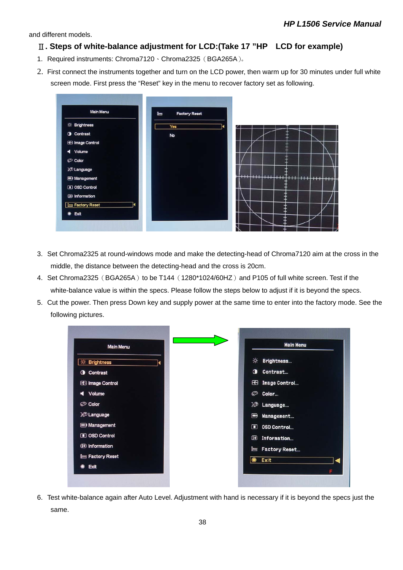and different models.

#### Ⅱ**. Steps of white-balance adjustment for LCD:(Take 17 "HP LCD for example)**

- 1. Required instruments: Chroma7120、Chroma2325(BGA265A)。
- 2. First connect the instruments together and turn on the LCD power, then warm up for 30 minutes under full white screen mode. First press the "Reset" key in the menu to recover factory set as following.



- 3. Set Chroma2325 at round-windows mode and make the detecting-head of Chroma7120 aim at the cross in the middle, the distance between the detecting-head and the cross is 20cm.
- 4. Set Chroma2325 (BGA265A) to be T144 (1280\*1024/60HZ) and P105 of full white screen. Test if the white-balance value is within the specs. Please follow the steps below to adjust if it is beyond the specs.
- 5. Cut the power. Then press Down key and supply power at the same time to enter into the factory mode. See the following pictures.



6. Test white-balance again after Auto Level. Adjustment with hand is necessary if it is beyond the specs just the same.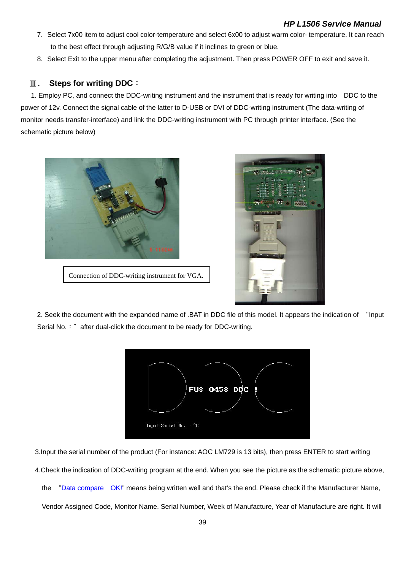- 7. Select 7x00 item to adjust cool color-temperature and select 6x00 to adjust warm color- temperature. It can reach to the best effect through adjusting R/G/B value if it inclines to green or blue.
- 8. Select Exit to the upper menu after completing the adjustment. Then press POWER OFF to exit and save it.

## Ⅲ. **Steps for writing DDC**:

 1. Employ PC, and connect the DDC-writing instrument and the instrument that is ready for writing into DDC to the power of 12v. Connect the signal cable of the latter to D-USB or DVI of DDC-writing instrument (The data-writing of monitor needs transfer-interface) and link the DDC-writing instrument with PC through printer interface. (See the schematic picture below)



Connection of DDC-writing instrument for VGA.



2. Seek the document with the expanded name of .BAT in DDC file of this model. It appears the indication of "Input Serial No.: " after dual-click the document to be ready for DDC-writing.



3.Input the serial number of the product (For instance: AOC LM729 is 13 bits), then press ENTER to start writing

4.Check the indication of DDC-writing program at the end. When you see the picture as the schematic picture above,

the "Data compare OK!" means being written well and that's the end. Please check if the Manufacturer Name,

Vendor Assigned Code, Monitor Name, Serial Number, Week of Manufacture, Year of Manufacture are right. It will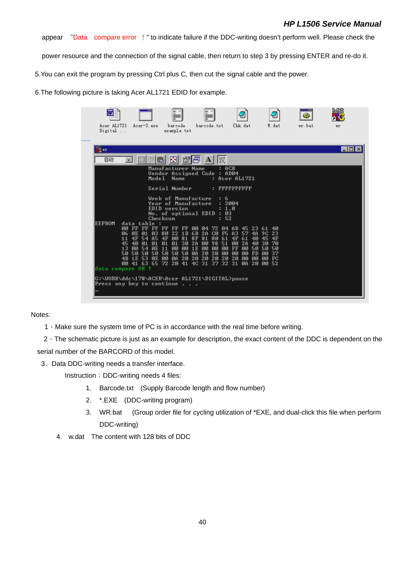### *HP L1506 Service Manual*

appear "Data compare error !" to indicate failure if the DDC-writing doesn't perform well. Please check the

power resource and the connection of the signal cable, then return to step 3 by pressing ENTER and re-do it.

5.You can exit the program by pressing Ctrl plus C, then cut the signal cable and the power.

6.The following picture is taking Acer AL1721 EDID for example.

| Digital       | example.txt                                                                                                                                                                                                                                                                                                                                                                                                                                                                                                                                                                                                                                                                                                                                                                             |         |
|---------------|-----------------------------------------------------------------------------------------------------------------------------------------------------------------------------------------------------------------------------------------------------------------------------------------------------------------------------------------------------------------------------------------------------------------------------------------------------------------------------------------------------------------------------------------------------------------------------------------------------------------------------------------------------------------------------------------------------------------------------------------------------------------------------------------|---------|
| is wr         |                                                                                                                                                                                                                                                                                                                                                                                                                                                                                                                                                                                                                                                                                                                                                                                         | I – I 0 |
| 自动            | 團<br>腳<br>汉                                                                                                                                                                                                                                                                                                                                                                                                                                                                                                                                                                                                                                                                                                                                                                             |         |
|               | Manufacturer Name<br>ACR<br>Vendor Assigned Code : AD04<br>: Acer AL1721<br>Model<br><b>Name</b>                                                                                                                                                                                                                                                                                                                                                                                                                                                                                                                                                                                                                                                                                        |         |
|               | Serial Number<br>$:$ PPPPPPPPPPP                                                                                                                                                                                                                                                                                                                                                                                                                                                                                                                                                                                                                                                                                                                                                        |         |
|               | <b>Week of Manufacture</b><br>6<br><b>Year of Manufacture</b><br>: 2004<br>EDID version<br>: 1.0<br>No. of optional EDID: 03<br>: 52<br>Checksum                                                                                                                                                                                                                                                                                                                                                                                                                                                                                                                                                                                                                                        |         |
| <b>EEPROM</b> | data table<br>÷<br>ии.<br>FF FF FF FF<br>04 AD 45 23<br>FF FF 00<br>่ ค4<br>-72<br>-61<br>40<br>22 1B 6B 2A<br>CQ<br><b>F5</b><br>23<br><b>06 OE 01</b><br>-03<br>80<br>A3<br>-57<br>4A<br>9C.<br>4F 54<br>00<br>80<br>A5<br>4F<br>81 8F 81<br>-61<br>4F<br>61<br>4F<br>40<br>-45<br>11<br><b>01 30 2A</b><br>00<br>98 51<br>00<br>2A<br>30<br>45<br>40 01<br>01<br>01<br>40<br>-70<br>ØE 11<br>00<br>00<br>00<br>00<br><b>FF</b><br>00<br>50<br>50<br>-50<br>13<br>00 54<br><b>00 1E</b><br>-50<br>20<br>00<br>50 50 50<br>50<br>50<br>ØA<br>20<br>00<br>50<br>00<br><b>FD</b><br><b>PN</b><br>-37<br>20 20 20<br><b>ØA</b><br>-20<br>20<br>FC<br>1E 53<br><b>0E 00</b><br>20<br>-00<br><b>DD</b><br><b>PUBL</b><br>4R<br>41 63 65 72 20 41 4C 31 37 32 31 0A 20<br>-52<br>- ЙЙ<br>ии. |         |
|               | data compare OK !                                                                                                                                                                                                                                                                                                                                                                                                                                                                                                                                                                                                                                                                                                                                                                       |         |

Notes:

1、Make sure the system time of PC is in accordance with the real time before writing.

2、The schematic picture is just as an example for description, the exact content of the DDC is dependent on the serial number of the BARCORD of this model.

3、Data DDC-writing needs a transfer interface.

Instruction: DDC-writing needs 4 files:

- 1. Barcode.txt (Supply Barcode length and flow number)
- 2. \*.EXE (DDC-writing program)
- 3. WR.bat (Group order file for cycling utilization of \*EXE, and dual-click this file when perform DDC-writing)
- 4. w.dat The content with 128 bits of DDC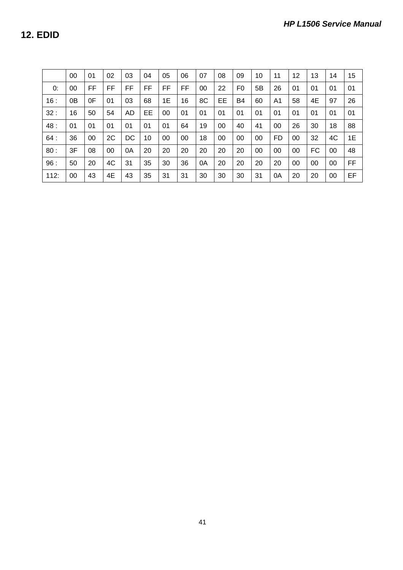**12. EDID** 

|      | 00 | 01 | 02 | 03 | 04 | 05 | 06 | 07 | 08 | 09 | 10 | 11 | 12 | 13 | 14 | 15 |
|------|----|----|----|----|----|----|----|----|----|----|----|----|----|----|----|----|
| 0:   | 00 | FF | FF | FF | FF | FF | FF | 00 | 22 | F0 | 5B | 26 | 01 | 01 | 01 | 01 |
| 16:  | 0B | 0F | 01 | 03 | 68 | 1E | 16 | 8C | EE | B4 | 60 | A1 | 58 | 4E | 97 | 26 |
| 32:  | 16 | 50 | 54 | AD | EЕ | 00 | 01 | 01 | 01 | 01 | 01 | 01 | 01 | 01 | 01 | 01 |
| 48:  | 01 | 01 | 01 | 01 | 01 | 01 | 64 | 19 | 00 | 40 | 41 | 00 | 26 | 30 | 18 | 88 |
| 64:  | 36 | 00 | 2C | DC | 10 | 00 | 00 | 18 | 00 | 00 | 00 | FD | 00 | 32 | 4C | 1E |
| 80:  | 3F | 08 | 00 | 0A | 20 | 20 | 20 | 20 | 20 | 20 | 00 | 00 | 00 | FC | 00 | 48 |
| 96:  | 50 | 20 | 4C | 31 | 35 | 30 | 36 | 0A | 20 | 20 | 20 | 20 | 00 | 00 | 00 | FF |
| 112: | 00 | 43 | 4E | 43 | 35 | 31 | 31 | 30 | 30 | 30 | 31 | 0A | 20 | 20 | 00 | EF |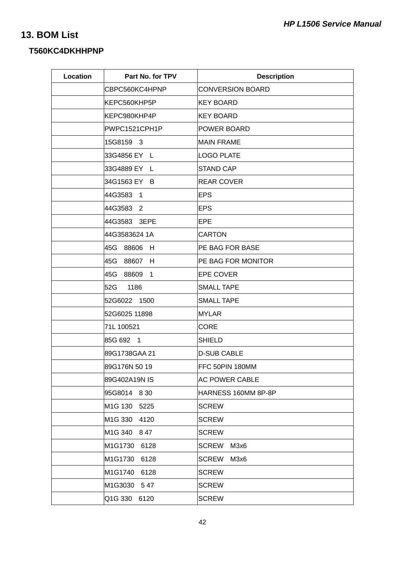## **13. BOM List**

## **T560KC4DKHHPNP**

| Location | Part No. for TPV             | <b>Description</b>        |
|----------|------------------------------|---------------------------|
|          | CBPC560KC4HPNP               | <b>CONVERSION BOARD</b>   |
|          | KEPC560KHP5P                 | KEY BOARD                 |
|          | KEPC980KHP4P                 | KEY BOARD                 |
|          | PWPC1521CPH1P                | POWER BOARD               |
|          | 15G8159 3                    | <b>MAIN FRAME</b>         |
|          | 33G4856 EY L                 | <b>LOGO PLATE</b>         |
|          | 33G4889 EY L                 | <b>STAND CAP</b>          |
|          | 34G1563 EY B                 | <b>REAR COVER</b>         |
|          | 44G3583 1                    | <b>EPS</b>                |
|          | 44G3583 2                    | <b>EPS</b>                |
|          | 44G3583 3EPE                 | EPE                       |
|          | 44G3583624 1A                | <b>CARTON</b>             |
|          | 45G 88606 H                  | <b>PE BAG FOR BASE</b>    |
|          | 45G 88607 H                  | <b>PE BAG FOR MONITOR</b> |
|          | 45G<br>88609<br>1            | <b>EPE COVER</b>          |
|          | 52G<br>1186                  | <b>SMALL TAPE</b>         |
|          | 52G6022 1500                 | <b>SMALL TAPE</b>         |
|          | 52G6025 11898                | <b>MYLAR</b>              |
|          | 71L 100521                   | <b>CORE</b>               |
|          | 85G 692 1                    | <b>SHIELD</b>             |
|          | 89G1738GAA 21                | <b>D-SUB CABLE</b>        |
|          | 89G176N 50 19                | FFC 50PIN 180MM           |
|          | 89G402A19N IS                | <b>AC POWER CABLE</b>     |
|          | 95G8014 830                  | HARNESS 160MM 8P-8P       |
|          | M1G 130<br>5225              | <b>SCREW</b>              |
|          | M <sub>1</sub> G 330<br>4120 | <b>SCREW</b>              |
|          | M <sub>1</sub> G 340<br>847  | <b>SCREW</b>              |
|          | M1G1730<br>6128              | <b>SCREW</b><br>M3x6      |
|          | M1G1730<br>6128              | <b>SCREW</b><br>M3x6      |
|          | M1G1740<br>6128              | <b>SCREW</b>              |
|          | M1G3030<br>547               | <b>SCREW</b>              |
|          | Q1G 330<br>6120              | <b>SCREW</b>              |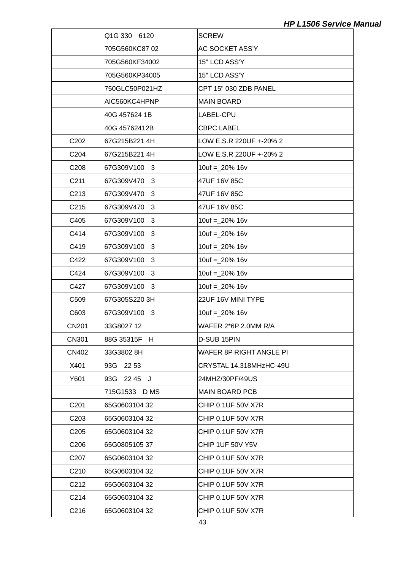|                   | Q1G 330 6120     | <b>SCREW</b>              |
|-------------------|------------------|---------------------------|
|                   | 705G560KC8702    | AC SOCKET ASS'Y           |
|                   | 705G560KF34002   | 15" LCD ASS'Y             |
|                   | 705G560KP34005   | 15" LCD ASS'Y             |
|                   | 750GLC50P021HZ   | CPT 15" 030 ZDB PANEL     |
|                   | AIC560KC4HPNP    | <b>MAIN BOARD</b>         |
|                   | 40G 457624 1B    | LABEL-CPU                 |
|                   | 40G 45762412B    | <b>CBPC LABEL</b>         |
| C <sub>202</sub>  | 67G215B221 4H    | LOW E.S.R 220UF +-20% 2   |
| C204              | 67G215B221 4H    | LOW E.S.R 220UF +-20% 2   |
| C208              | 67G309V100 3     | $10uf = 20\% 16v$         |
| C <sub>211</sub>  | 67G309V470<br>3  | 47UF 16V 85C              |
| C213              | 67G309V470<br>3  | 47UF 16V 85C              |
| C215              | 67G309V470<br>3  | 47UF 16V 85C              |
| C405              | 67G309V100 3     | $10uf = 20\% 16v$         |
| C414              | 67G309V100<br>3  | $10uf = 20\% 16v$         |
| C419              | 67G309V100<br>3  | $10uf = 20\% 16v$         |
| C422              | 67G309V100 3     | $10uf = 20\% 16v$         |
| C424              | 67G309V100 3     | $10uf = 20\% 16v$         |
| C427              | 67G309V100<br>3  | $10uf = 20\% 16v$         |
| C509              | 67G305S220 3H    | 22UF 16V MINI TYPE        |
| C603              | 67G309V100 3     | $10uf = 20\% 16v$         |
| <b>CN201</b>      | 33G8027 12       | WAFER 2*6P 2.0MM R/A      |
| <b>CN301</b>      | 88G 35315F H     | D-SUB 15PIN               |
| CN402             | 33G3802 8H       | WAFER 8P RIGHT ANGLE PI   |
| X401              | 93G 2253         | CRYSTAL 14.318MHzHC-49U   |
| Y601              | 93G 2245 J       | 24MHZ/30PF/49US           |
|                   | 715G1533<br>D MS | <b>MAIN BOARD PCB</b>     |
| C <sub>201</sub>  | 65G0603104 32    | CHIP 0.1UF 50V X7R        |
| C <sub>203</sub>  | 65G0603104 32    | CHIP 0.1UF 50V X7R        |
| C <sub>205</sub>  | 65G0603104 32    | <b>CHIP 0.1UF 50V X7R</b> |
| C <sub>206</sub>  | 65G080510537     | CHIP 1UF 50V Y5V          |
| C207              | 65G0603104 32    | CHIP 0.1UF 50V X7R        |
| C210              | 65G0603104 32    | CHIP 0.1UF 50V X7R        |
| C <sub>2</sub> 12 | 65G0603104 32    | CHIP 0.1UF 50V X7R        |
| C214              | 65G0603104 32    | CHIP 0.1UF 50V X7R        |
| C216              | 65G0603104 32    | CHIP 0.1UF 50V X7R        |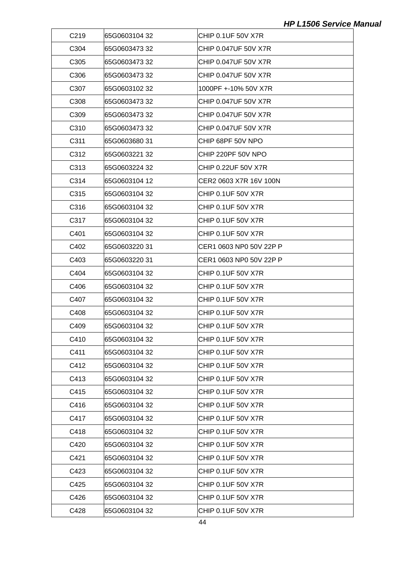| C <sub>219</sub>  | 65G0603104 32  | CHIP 0.1UF 50V X7R         |
|-------------------|----------------|----------------------------|
| C304              | 65G0603473 32  | CHIP 0.047UF 50V X7R       |
| C <sub>305</sub>  | 65G0603473 32  | CHIP 0.047UF 50V X7R       |
| C306              | 65G0603473 32  | CHIP 0.047UF 50V X7R       |
| C <sub>30</sub> 7 | 65G0603102 32  | 1000PF +-10% 50V X7R       |
| C308              | 65G0603473 32  | CHIP 0.047UF 50V X7R       |
| C <sub>309</sub>  | 65G060347332   | CHIP 0.047UF 50V X7R       |
| C310              | 65G0603473 32  | CHIP 0.047UF 50V X7R       |
| C311              | l65G0603680 31 | CHIP 68PF 50V NPO          |
| C312              | 65G0603221 32  | CHIP 220PF 50V NPO         |
| C313              | 65G0603224 32  | <b>CHIP 0.22UF 50V X7R</b> |
| C314              | 65G0603104 12  | ICER2 0603 X7R 16V 100N    |
| C315              | 65G0603104 32  | <b>CHIP 0.1UF 50V X7R</b>  |
| C316              | 65G0603104 32  | CHIP 0.1UF 50V X7R         |
| C317              | 65G0603104 32  | <b>CHIP 0.1UF 50V X7R</b>  |
| C401              | 65G0603104 32  | CHIP 0.1UF 50V X7R         |
| C402              | l65G0603220 31 | CER1 0603 NP0 50V 22P P    |
| C403              | 65G0603220 31  | CER1 0603 NP0 50V 22P P    |
| C404              | 65G0603104 32  | <b>CHIP 0.1UF 50V X7R</b>  |
| C406              | 65G0603104 32  | CHIP 0.1UF 50V X7R         |
| C407              | 65G0603104 32  | CHIP 0.1UF 50V X7R         |
| C408              | 65G0603104 32  | CHIP 0.1UF 50V X7R         |
| C409              | 65G0603104 32  | <b>CHIP 0.1UF 50V X7R</b>  |
| C410              | 65G0603104 32  | CHIP 0.1UF 50V X7R         |
| C411              | 65G0603104 32  | CHIP 0.1UF 50V X7R         |
| C412              | 65G0603104 32  | <b>CHIP 0.1UF 50V X7R</b>  |
| C413              | 65G0603104 32  | <b>CHIP 0.1UF 50V X7R</b>  |
| C415              | 65G0603104 32  | CHIP 0.1UF 50V X7R         |
| C416              | 65G0603104 32  | <b>CHIP 0.1UF 50V X7R</b>  |
| C417              | 65G0603104 32  | CHIP 0.1UF 50V X7R         |
| C418              | 65G0603104 32  | <b>CHIP 0.1UF 50V X7R</b>  |
| C420              | 65G0603104 32  | CHIP 0.1UF 50V X7R         |
| C421              | 65G0603104 32  | <b>CHIP 0.1UF 50V X7R</b>  |
| C423              | 65G0603104 32  | CHIP 0.1UF 50V X7R         |
| C425              | 65G0603104 32  | <b>CHIP 0.1UF 50V X7R</b>  |
| C426              | 65G0603104 32  | CHIP 0.1UF 50V X7R         |
| C428              | 65G0603104 32  | CHIP 0.1UF 50V X7R         |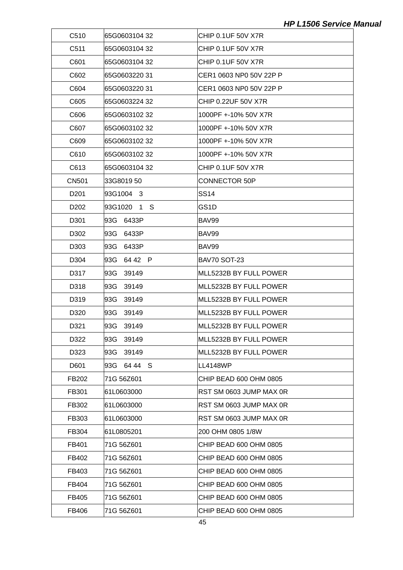| C510             | 65G0603104 32    | CHIP 0.1UF 50V X7R        |
|------------------|------------------|---------------------------|
| C511             | 65G0603104 32    | CHIP 0.1UF 50V X7R        |
| C601             | 65G0603104 32    | <b>CHIP 0.1UF 50V X7R</b> |
| C602             | 65G060322031     | CER1 0603 NP0 50V 22P P   |
| C604             | 65G0603220 31    | CER1 0603 NP0 50V 22P P   |
| C605             | 65G0603224 32    | CHIP 0.22UF 50V X7R       |
| C606             | 65G0603102 32    | 1000PF +-10% 50V X7R      |
| C607             | 65G0603102 32    | 1000PF +-10% 50V X7R      |
| C609             | 65G0603102 32    | 1000PF +-10% 50V X7R      |
| C610             | 65G0603102 32    | 1000PF +-10% 50V X7R      |
| C613             | 65G0603104 32    | CHIP 0.1UF 50V X7R        |
| <b>CN501</b>     | 33G8019 50       | CONNECTOR 50P             |
| D <sub>201</sub> | 93G1004 3        | <b>SS14</b>               |
| D <sub>202</sub> | 93G1020 1 S      | GS1D                      |
| D301             | 93G 6433P        | BAV99                     |
| D302             | 93G -<br>6433P   | BAV99                     |
| D303             | 93G 6433P        | BAV99                     |
| D304             | 64 42 P<br>93G - | <b>BAV70 SOT-23</b>       |
| D317             | 39149<br>93G     | MLL5232B BY FULL POWER    |
| D318             | 93G<br>39149     | IMLL5232B BY FULL POWER   |
| D319             | 93G<br>39149     | MLL5232B BY FULL POWER    |
| D320             | 93G<br>39149     | MLL5232B BY FULL POWER    |
| D321             | 39149<br>93G -   | MLL5232B BY FULL POWER    |
| D322             | 93G<br>39149     | MLL5232B BY FULL POWER    |
| D323             | 39149<br>93G     | MLL5232B BY FULL POWER    |
| D601             | 93G 6444 S       | <b>LL4148WP</b>           |
| FB202            | 71G 56Z601       | CHIP BEAD 600 OHM 0805    |
| FB301            | 61L0603000       | RST SM 0603 JUMP MAX 0R   |
| FB302            | 61L0603000       | RST SM 0603 JUMP MAX 0R   |
| FB303            | 61L0603000       | RST SM 0603 JUMP MAX 0R   |
| FB304            | 61L0805201       | 200 OHM 0805 1/8W         |
| FB401            | 71G 56Z601       | CHIP BEAD 600 OHM 0805    |
| FB402            | 71G 56Z601       | CHIP BEAD 600 OHM 0805    |
| FB403            | 71G 56Z601       | CHIP BEAD 600 OHM 0805    |
| FB404            | 71G 56Z601       | CHIP BEAD 600 OHM 0805    |
| FB405            | 71G 56Z601       | CHIP BEAD 600 OHM 0805    |
| FB406            | 71G 56Z601       | CHIP BEAD 600 OHM 0805    |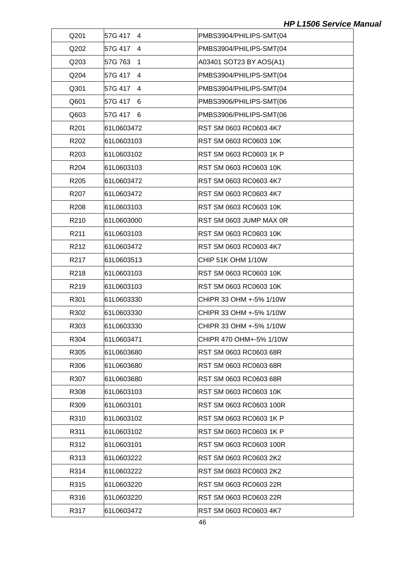| Q201 | 57G 417<br>$\overline{4}$ | PMBS3904/PHILIPS-SMT(04 |
|------|---------------------------|-------------------------|
| Q202 | 57G 417 4                 | PMBS3904/PHILIPS-SMT(04 |
| Q203 | 57G 763<br>$\overline{1}$ | A03401 SOT23 BY AOS(A1) |
| Q204 | 57G 417<br>4              | PMBS3904/PHILIPS-SMT(04 |
| Q301 | 57G 417 4                 | PMBS3904/PHILIPS-SMT(04 |
| Q601 | 57G 417<br>6              | PMBS3906/PHILIPS-SMT(06 |
| Q603 | 57G 417 6                 | PMBS3906/PHILIPS-SMT(06 |
| R201 | 61L0603472                | RST SM 0603 RC0603 4K7  |
| R202 | 61L0603103                | RST SM 0603 RC0603 10K  |
| R203 | 61L0603102                | RST SM 0603 RC0603 1K P |
| R204 | 61L0603103                | RST SM 0603 RC0603 10K  |
| R205 | 61L0603472                | RST SM 0603 RC0603 4K7  |
| R207 | 61L0603472                | RST SM 0603 RC0603 4K7  |
| R208 | 61L0603103                | RST SM 0603 RC0603 10K  |
| R210 | 61L0603000                | RST SM 0603 JUMP MAX 0R |
| R211 | 61L0603103                | RST SM 0603 RC0603 10K  |
| R212 | 61L0603472                | RST SM 0603 RC0603 4K7  |
| R217 | 61L0603513                | CHIP 51K OHM 1/10W      |
| R218 | 61L0603103                | RST SM 0603 RC0603 10K  |
| R219 | 61L0603103                | RST SM 0603 RC0603 10K  |
| R301 | 61L0603330                | CHIPR 33 OHM +-5% 1/10W |
| R302 | 61L0603330                | CHIPR 33 OHM +-5% 1/10W |
| R303 | 61L0603330                | CHIPR 33 OHM +-5% 1/10W |
| R304 | 61L0603471                | CHIPR 470 OHM+-5% 1/10W |
| R305 | 61L0603680                | RST SM 0603 RC0603 68R  |
| R306 | 61L0603680                | RST SM 0603 RC0603 68R  |
| R307 | 61L0603680                | RST SM 0603 RC0603 68R  |
| R308 | 61L0603103                | RST SM 0603 RC0603 10K  |
| R309 | 61L0603101                | RST SM 0603 RC0603 100R |
| R310 | 61L0603102                | RST SM 0603 RC0603 1K P |
| R311 | 61L0603102                | RST SM 0603 RC0603 1K P |
| R312 | 61L0603101                | RST SM 0603 RC0603 100R |
| R313 | 61L0603222                | RST SM 0603 RC0603 2K2  |
| R314 | 61L0603222                | RST SM 0603 RC0603 2K2  |
| R315 | 61L0603220                | RST SM 0603 RC0603 22R  |
| R316 | 61L0603220                | RST SM 0603 RC0603 22R  |
| R317 | 61L0603472                | RST SM 0603 RC0603 4K7  |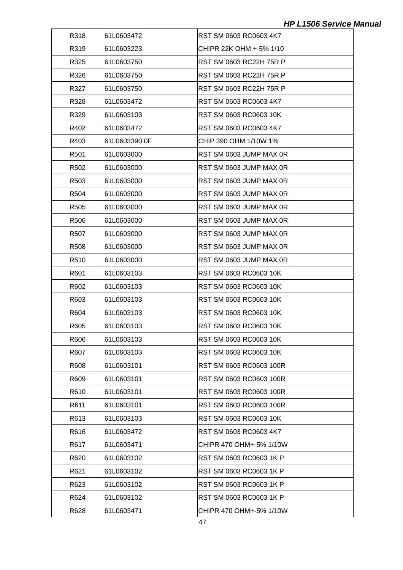| R318              | 61L0603472 | RST SM 0603 RC0603 4K7  |
|-------------------|------------|-------------------------|
| R319              | 61L0603223 | CHIPR 22K OHM +-5% 1/10 |
| R325              | 61L0603750 | RST SM 0603 RC22H 75R P |
| R326              | 61L0603750 | RST SM 0603 RC22H 75R P |
| R327              | 61L0603750 | RST SM 0603 RC22H 75R P |
| R328              | 61L0603472 | RST SM 0603 RC0603 4K7  |
| R329              | 61L0603103 | RST SM 0603 RC0603 10K  |
| R402              | 61L0603472 | RST SM 0603 RC0603 4K7  |
| R403              |            | CHIP 390 OHM 1/10W 1%   |
| R <sub>501</sub>  | 61L0603000 | RST SM 0603 JUMP MAX 0R |
| R502              | 61L0603000 | RST SM 0603 JUMP MAX 0R |
| R503              | 61L0603000 | RST SM 0603 JUMP MAX 0R |
| R504              | 61L0603000 | RST SM 0603 JUMP MAX 0R |
| R505              | 61L0603000 | RST SM 0603 JUMP MAX 0R |
| R506              | 61L0603000 | RST SM 0603 JUMP MAX 0R |
| R <sub>50</sub> 7 | 61L0603000 | RST SM 0603 JUMP MAX 0R |
| R508              | 61L0603000 | RST SM 0603 JUMP MAX 0R |
| R510              | 61L0603000 | RST SM 0603 JUMP MAX 0R |
| R601              | 61L0603103 | RST SM 0603 RC0603 10K  |
| R602              | 61L0603103 | RST SM 0603 RC0603 10K  |
| R603              | 61L0603103 | RST SM 0603 RC0603 10K  |
| R604              | 61L0603103 | RST SM 0603 RC0603 10K  |
| R605              | 61L0603103 | RST SM 0603 RC0603 10K  |
| R606              | 61L0603103 | RST SM 0603 RC0603 10K  |
| R607              | 61L0603103 | RST SM 0603 RC0603 10K  |
| R608              | 61L0603101 | RST SM 0603 RC0603 100R |
| R609              | 61L0603101 | RST SM 0603 RC0603 100R |
| R610              | 61L0603101 | RST SM 0603 RC0603 100R |
| R611              | 61L0603101 | RST SM 0603 RC0603 100R |
| R613              | 61L0603103 | RST SM 0603 RC0603 10K  |
| R616              | 61L0603472 | RST SM 0603 RC0603 4K7  |
| R617              | 61L0603471 | CHIPR 470 OHM+-5% 1/10W |
| R620              | 61L0603102 | RST SM 0603 RC0603 1K P |
| R621              | 61L0603102 | RST SM 0603 RC0603 1K P |
| R623              | 61L0603102 | RST SM 0603 RC0603 1K P |
| R624              | 61L0603102 | RST SM 0603 RC0603 1K P |
| R628              | 61L0603471 | CHIPR 470 OHM+-5% 1/10W |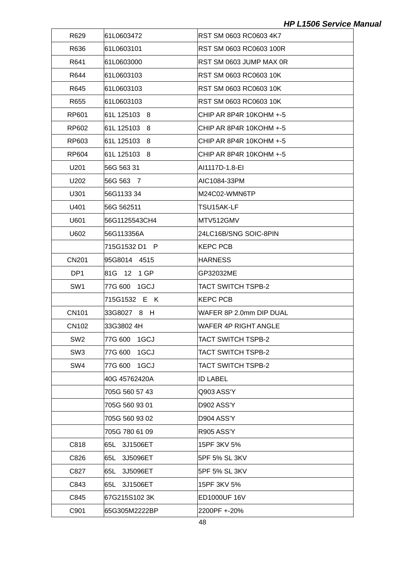| R629            | 61L0603472      | RST SM 0603 RC0603 4K7    |
|-----------------|-----------------|---------------------------|
| R636            | 61L0603101      | RST SM 0603 RC0603 100R   |
| R641            | 61L0603000      | RST SM 0603 JUMP MAX 0R   |
| R644            | 61L0603103      | RST SM 0603 RC0603 10K    |
| R645            | 61L0603103      | RST SM 0603 RC0603 10K    |
| R655            | 61L0603103      | RST SM 0603 RC0603 10K    |
| RP601           | 61L 125103 8    | CHIP AR 8P4R 10KOHM +-5   |
| RP602           | 61L 125103 8    | ICHIP AR 8P4R 10KOHM +-5  |
| RP603           | 61L 125103 8    | ICHIP AR 8P4R 10KOHM +-5  |
| RP604           | 61L 125103 8    | CHIP AR 8P4R 10KOHM +-5   |
| U201            | 56G 563 31      | AI1117D-1.8-EI            |
| U202            | 56G 563 7       | AIC1084-33PM              |
| U301            | 56G1133 34      | M24C02-WMN6TP             |
| U401            | 56G 562511      | TSU15AK-LF                |
| U601            | 56G1125543CH4   | MTV512GMV                 |
| U602            | 56G113356A      | 24LC16B/SNG SOIC-8PIN     |
|                 | 715G1532 D1 P   | KEPC PCB                  |
| <b>CN201</b>    | 95G8014 4515    | <b>HARNESS</b>            |
| DP <sub>1</sub> | 81G 12 1 GP     | GP32032ME                 |
| SW <sub>1</sub> | 77G 600<br>1GCJ | <b>TACT SWITCH TSPB-2</b> |
|                 | 715G1532 E K    | <b>KEPC PCB</b>           |
| <b>CN101</b>    | 33G8027 8 H     | WAFER 8P 2.0mm DIP DUAL   |
| <b>CN102</b>    | 33G3802 4H      | WAFER 4P RIGHT ANGLE      |
| SW <sub>2</sub> | 1GCJ<br>77G 600 | TACT SWITCH TSPB-2        |
| SW <sub>3</sub> | 1GCJ<br>77G 600 | <b>TACT SWITCH TSPB-2</b> |
| SW4             | 77G 600<br>1GCJ | TACT SWITCH TSPB-2        |
|                 | 40G 45762420A   | <b>ID LABEL</b>           |
|                 | 705G 560 57 43  | Q903 ASS'Y                |
|                 | 705G 560 93 01  | D902 ASS'Y                |
|                 | 705G 560 93 02  | D904 ASS'Y                |
|                 | 705G 780 61 09  | R905 ASS'Y                |
| C818            | 65L 3J1506ET    | 15PF 3KV 5%               |
| C826            | 65L 3J5096ET    | 5PF 5% SL 3KV             |
| C827            | 3J5096ET<br>65L | 5PF 5% SL 3KV             |
| C843            | 65L 3J1506ET    | 15PF 3KV 5%               |
| C845            | 67G215S1023K    | ED1000UF 16V              |
| C901            | 65G305M2222BP   | 2200PF +-20%              |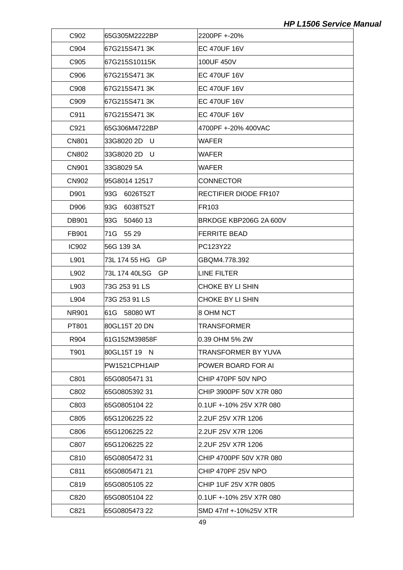| C902         | 65G305M2222BP        | 2200PF +-20%                 |
|--------------|----------------------|------------------------------|
| C904         | 67G215S4713K         | <b>EC 470UF 16V</b>          |
| C905         | 67G215S10115K        | 100UF 450V                   |
| C906         | l67G215S471 3K       | <b>EC 470UF 16V</b>          |
| C908         | 67G215S471 3K        | <b>EC 470UF 16V</b>          |
| C909         | 67G215S4713K         | <b>EC 470UF 16V</b>          |
| C911         | 67G215S471 3K        | <b>EC 470UF 16V</b>          |
| C921         | l65G306M4722BP       | 4700PF +-20% 400VAC          |
| <b>CN801</b> | 33G8020 2D<br>- U    | WAFER                        |
| <b>CN802</b> | 33G8020 2D<br>- U    | <b>WAFER</b>                 |
| <b>CN901</b> | 33G8029 5A           | <b>WAFER</b>                 |
| CN902        | 95G8014 12517        | <b>CONNECTOR</b>             |
| D901         | 93G 6026T52T         | <b>RECTIFIER DIODE FR107</b> |
| D906         | 93G<br>6038T52T      | FR103                        |
| DB901        | 93G 50460 13         | BRKDGE KBP206G 2A 600V       |
| FB901        | 71G 55 29            | <b>FERRITE BEAD</b>          |
| <b>IC902</b> | 56G 139 3A           | PC123Y22                     |
| L901         | 73L 174 55 HG<br>-GP | GBQM4.778.392                |
| L902         | 73L 174 40LSG<br>GP. | LINE FILTER                  |
| L903         | 73G 253 91 LS        | CHOKE BY LI SHIN             |
| L904         | 73G 253 91 LS        | CHOKE BY LI SHIN             |
| <b>NR901</b> | 61G 58080 WT         | 8 OHM NCT                    |
| PT801        | 80GL15T 20 DN        | TRANSFORMER                  |
| R904         | 61G152M39858F        | 0.39 OHM 5% 2W               |
| T901         | 80GL15T 19 N         | <b>TRANSFORMER BY YUVA</b>   |
|              | PW1521CPH1AIP        | POWER BOARD FOR AI           |
| C801         | 65G080547131         | CHIP 470PF 50V NPO           |
| C802         | l65G0805392 31       | CHIP 3900PF 50V X7R 080      |
| C803         | 65G0805104 22        | 0.1UF +-10% 25V X7R 080      |
| C805         | 65G1206225 22        | 2.2UF 25V X7R 1206           |
| C806         | 65G1206225 22        | 2.2UF 25V X7R 1206           |
| C807         | 65G1206225 22        | 2.2UF 25V X7R 1206           |
| C810         | 65G0805472 31        | CHIP 4700PF 50V X7R 080      |
| C811         | 65G0805471 21        | CHIP 470PF 25V NPO           |
| C819         | 65G0805105 22        | CHIP 1UF 25V X7R 0805        |
| C820         | l65G0805104 22       | 0.1UF +-10% 25V X7R 080      |
| C821         | 65G0805473 22        | SMD 47nf +-10%25V XTR        |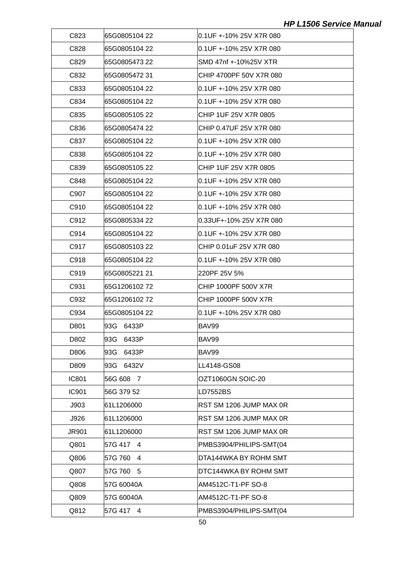| C823         | 65G0805104 22  | l0.1UF +-10% 25V X7R 080 |
|--------------|----------------|--------------------------|
| C828         | 65G0805104 22  | l0.1UF +-10% 25V X7R 080 |
| C829         | 65G0805473 22  | SMD 47nf +-10%25V XTR    |
| C832         | l65G0805472 31 | CHIP 4700PF 50V X7R 080  |
| C833         | 65G0805104 22  | 0.1UF +-10% 25V X7R 080  |
| C834         | l65G0805104 22 | l0.1UF +-10% 25V X7R 080 |
| C835         | l65G0805105 22 | CHIP 1UF 25V X7R 0805    |
| C836         | 65G0805474 22  | CHIP 0.47UF 25V X7R 080  |
| C837         | l65G0805104 22 | l0.1UF +-10% 25V X7R 080 |
| C838         | 65G0805104 22  | l0.1UF +-10% 25V X7R 080 |
| C839         | 65G0805105 22  | CHIP 1UF 25V X7R 0805    |
| C848         | l65G0805104 22 | l0.1UF +-10% 25V X7R 080 |
| C907         | 65G0805104 22  | 0.1UF +-10% 25V X7R 080  |
| C910         | l65G0805104 22 | l0.1UF +-10% 25V X7R 080 |
| C912         | l65G0805334 22 | 0.33UF+-10% 25V X7R 080  |
| C914         | 65G0805104 22  | 0.1UF +-10% 25V X7R 080  |
| C917         | 65G0805103 22  | CHIP 0.01uF 25V X7R 080  |
| C918         | l65G0805104 22 | 0.1UF +-10% 25V X7R 080  |
| C919         | 65G0805221 21  | 220PF 25V 5%             |
| C931         | 65G1206102 72  | CHIP 1000PF 500V X7R     |
| C932         | 65G1206102 72  | CHIP 1000PF 500V X7R     |
| C934         | 65G0805104 22  | l0.1UF +-10% 25V X7R 080 |
| D801         | 93G 6433P      | BAV99                    |
| D802         | 93G 6433P      | BAV99                    |
| D806         | 93G<br>6433P   | BAV99                    |
| D809         | 6432V<br>93G   | LL4148-GS08              |
| <b>IC801</b> | 56G 608 7      | OZT1060GN SOIC-20        |
| <b>IC901</b> | 56G 379 52     | LD7552BS                 |
| J903         | 61L1206000     | RST SM 1206 JUMP MAX 0R  |
| J926         | 61L1206000     | RST SM 1206 JUMP MAX 0R  |
| <b>JR901</b> | 61L1206000     | RST SM 1206 JUMP MAX 0R  |
| Q801         | 57G 417 4      | PMBS3904/PHILIPS-SMT(04  |
| Q806         | 57G 760<br>4   | DTA144WKA BY ROHM SMT    |
| Q807         | 57G 760<br>- 5 | DTC144WKA BY ROHM SMT    |
| Q808         | 57G 60040A     | AM4512C-T1-PF SO-8       |
| Q809         | 57G 60040A     | AM4512C-T1-PF SO-8       |
| Q812         | 57G 417 4      | PMBS3904/PHILIPS-SMT(04  |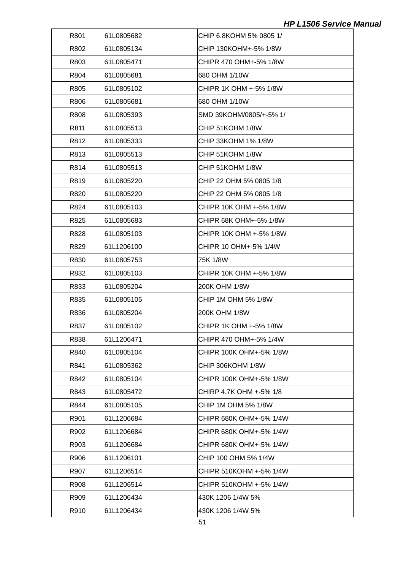| R801 | l61L0805682 | ICHIP 6.8KOHM 5% 0805 1/ |
|------|-------------|--------------------------|
| R802 | 61L0805134  | CHIP 130KOHM+-5% 1/8W    |
| R803 | l61L0805471 | CHIPR 470 OHM+-5% 1/8W   |
| R804 | l61L0805681 | 680 OHM 1/10W            |
| R805 | 61L0805102  | CHIPR 1K OHM +-5% 1/8W   |
| R806 | l61L0805681 | 680 OHM 1/10W            |
| R808 | l61L0805393 | SMD 39KOHM/0805/+-5% 1/  |
| R811 | 61L0805513  | CHIP 51KOHM 1/8W         |
| R812 | l61L0805333 | CHIP 33KOHM 1% 1/8W      |
| R813 | 61L0805513  | CHIP 51KOHM 1/8W         |
| R814 | l61L0805513 | CHIP 51KOHM 1/8W         |
| R819 | 61L0805220  | CHIP 22 OHM 5% 0805 1/8  |
| R820 | 61L0805220  | CHIP 22 OHM 5% 0805 1/8  |
| R824 | 61L0805103  | CHIPR 10K OHM +-5% 1/8W  |
| R825 | l61L0805683 | CHIPR 68K OHM+-5% 1/8W   |
| R828 | 61L0805103  | CHIPR 10K OHM +-5% 1/8W  |
| R829 | l61L1206100 | CHIPR 10 OHM+-5% 1/4W    |
| R830 | 61L0805753  | 75K 1/8W                 |
| R832 | 61L0805103  | CHIPR 10K OHM +-5% 1/8W  |
| R833 | 61L0805204  | 200K OHM 1/8W            |
| R835 | 61L0805105  | CHIP 1M OHM 5% 1/8W      |
| R836 | 61L0805204  | 200K OHM 1/8W            |
| R837 | l61L0805102 | CHIPR 1K OHM +-5% 1/8W   |
| R838 | 61L1206471  | CHIPR 470 OHM+-5% 1/4W   |
| R840 | 61L0805104  | CHIPR 100K OHM+-5% 1/8W  |
| R841 | 61L0805362  | CHIP 306KOHM 1/8W        |
| R842 | 61L0805104  | CHIPR 100K OHM+-5% 1/8W  |
| R843 | 61L0805472  | CHIRP 4.7K OHM +-5% 1/8  |
| R844 | 61L0805105  | CHIP 1M OHM 5% 1/8W      |
| R901 | 61L1206684  | CHIPR 680K OHM+-5% 1/4W  |
| R902 | 61L1206684  | CHIPR 680K OHM+-5% 1/4W  |
| R903 | 61L1206684  | CHIPR 680K OHM+-5% 1/4W  |
| R906 | 61L1206101  | CHIP 100 OHM 5% 1/4W     |
| R907 | 61L1206514  | CHIPR 510KOHM +-5% 1/4W  |
| R908 | 61L1206514  | CHIPR 510KOHM +-5% 1/4W  |
| R909 | 61L1206434  | 430K 1206 1/4W 5%        |
| R910 | 61L1206434  | 430K 1206 1/4W 5%        |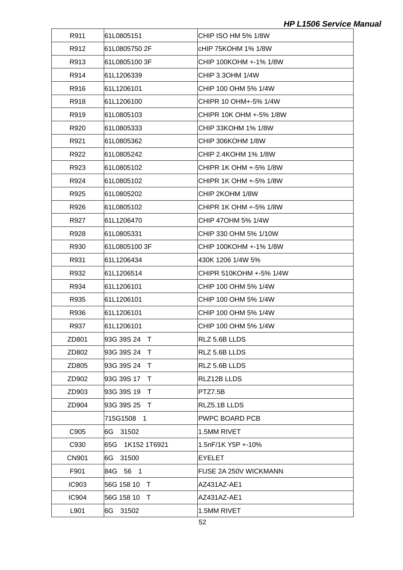| R911         | 61L0805151       | CHIP ISO HM 5% 1/8W     |
|--------------|------------------|-------------------------|
| R912         | 61L0805750 2F    | cHIP 75KOHM 1% 1/8W     |
| R913         | 61L0805100 3F    | CHIP 100KOHM +-1% 1/8W  |
| R914         | 61L1206339       | CHIP 3.30HM 1/4W        |
| R916         | 61L1206101       | CHIP 100 OHM 5% 1/4W    |
| R918         | 61L1206100       | CHIPR 10 OHM+-5% 1/4W   |
| R919         | 61L0805103       | CHIPR 10K OHM +-5% 1/8W |
| R920         | 61L0805333       | CHIP 33KOHM 1% 1/8W     |
| R921         | 61L0805362       | CHIP 306KOHM 1/8W       |
| R922         | 61L0805242       | CHIP 2.4KOHM 1% 1/8W    |
| R923         | 61L0805102       | CHIPR 1K OHM +-5% 1/8W  |
| R924         | 61L0805102       | CHIPR 1K OHM +-5% 1/8W  |
| R925         | 61L0805202       | CHIP 2KOHM 1/8W         |
| R926         | 61L0805102       | CHIPR 1K OHM +-5% 1/8W  |
| R927         | 61L1206470       | CHIP 470HM 5% 1/4W      |
| R928         | 61L0805331       | CHIP 330 OHM 5% 1/10W   |
| R930         | 61L0805100 3F    | CHIP 100KOHM +-1% 1/8W  |
| R931         | 61L1206434       | 430K 1206 1/4W 5%       |
| R932         | 61L1206514       | CHIPR 510KOHM +-5% 1/4W |
| R934         | 61L1206101       | CHIP 100 OHM 5% 1/4W    |
| R935         | 61L1206101       | CHIP 100 OHM 5% 1/4W    |
| R936         | 61L1206101       | CHIP 100 OHM 5% 1/4W    |
| R937         | 61L1206101       | CHIP 100 OHM 5% 1/4W    |
| ZD801        | 93G 39S 24 T     | RLZ 5.6B LLDS           |
| ZD802        | 93G 39S 24 T     | RLZ 5.6B LLDS           |
| ZD805        | 93G 39S 24 T     | RLZ 5.6B LLDS           |
| ZD902        | 93G 39S 17 T     | RLZ12B LLDS             |
| ZD903        | 93G 39S 19 T     | PTZ7.5B                 |
| ZD904        | 93G 39S 25 T     | RLZ5.1B LLDS            |
|              | 715G1508 1       | <b>PWPC BOARD PCB</b>   |
| C905         | 6G 31502         | 1.5MM RIVET             |
| C930         | 65G 1K152 1T6921 | 1.5nF/1K Y5P +-10%      |
| <b>CN901</b> | 6G 31500         | <b>EYELET</b>           |
| F901         | 84G 56 1         | FUSE 2A 250V WICKMANN   |
| <b>IC903</b> | 56G 158 10 T     | AZ431AZ-AE1             |
| <b>IC904</b> | 56G 158 10<br>T  | AZ431AZ-AE1             |
| L901         | 6G 31502         | 1.5MM RIVET             |